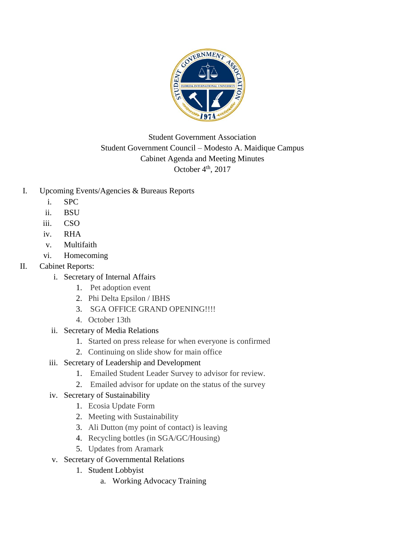

# Student Government Association Student Government Council – Modesto A. Maidique Campus Cabinet Agenda and Meeting Minutes October  $4<sup>th</sup>$ , 2017

- I. Upcoming Events/Agencies & Bureaus Reports
	- i. SPC
	- ii. BSU
	- iii. CSO
	- iv. RHA
	- v. Multifaith
	- vi. Homecoming

# II. Cabinet Reports:

- i. Secretary of Internal Affairs
	- 1. Pet adoption event
	- 2. Phi Delta Epsilon / IBHS
	- 3. SGA OFFICE GRAND OPENING!!!!
	- 4. October 13th
- ii. Secretary of Media Relations
	- 1. Started on press release for when everyone is confirmed
	- 2. Continuing on slide show for main office
- iii. Secretary of Leadership and Development
	- 1. Emailed Student Leader Survey to advisor for review.
	- 2. Emailed advisor for update on the status of the survey
- iv. Secretary of Sustainability
	- 1. Ecosia Update Form
	- 2. Meeting with Sustainability
	- 3. Ali Dutton (my point of contact) is leaving
	- 4. Recycling bottles (in SGA/GC/Housing)
	- 5. Updates from Aramark
- v. Secretary of Governmental Relations
	- 1. Student Lobbyist
		- a. Working Advocacy Training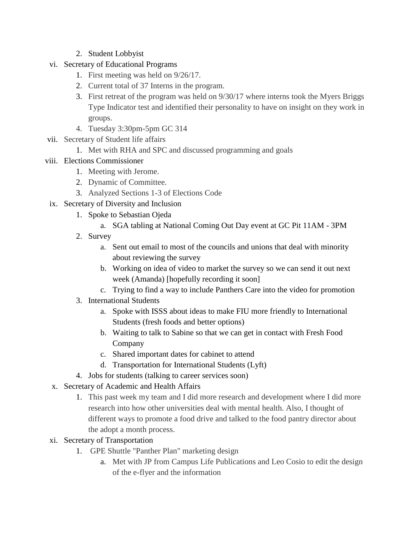## 2. Student Lobbyist

- vi. Secretary of Educational Programs
	- 1. First meeting was held on 9/26/17.
	- 2. Current total of 37 Interns in the program.
	- 3. First retreat of the program was held on 9/30/17 where interns took the Myers Briggs Type Indicator test and identified their personality to have on insight on they work in groups.
	- 4. Tuesday 3:30pm-5pm GC 314
- vii. Secretary of Student life affairs
	- 1. Met with RHA and SPC and discussed programming and goals

## viii. Elections Commissioner

- 1. Meeting with Jerome.
- 2. Dynamic of Committee.
- 3. Analyzed Sections 1-3 of Elections Code
- ix. Secretary of Diversity and Inclusion
	- 1. Spoke to Sebastian Ojeda
		- a. SGA tabling at National Coming Out Day event at GC Pit 11AM 3PM
	- 2. Survey
		- a. Sent out email to most of the councils and unions that deal with minority about reviewing the survey
		- b. Working on idea of video to market the survey so we can send it out next week (Amanda) [hopefully recording it soon]
		- c. Trying to find a way to include Panthers Care into the video for promotion
	- 3. International Students
		- a. Spoke with ISSS about ideas to make FIU more friendly to International Students (fresh foods and better options)
		- b. Waiting to talk to Sabine so that we can get in contact with Fresh Food Company
		- c. Shared important dates for cabinet to attend
		- d. Transportation for International Students (Lyft)
	- 4. Jobs for students (talking to career services soon)
- x. Secretary of Academic and Health Affairs
	- 1. This past week my team and I did more research and development where I did more research into how other universities deal with mental health. Also, I thought of different ways to promote a food drive and talked to the food pantry director about the adopt a month process.
- xi. Secretary of Transportation
	- 1. GPE Shuttle "Panther Plan" marketing design
		- a. Met with JP from Campus Life Publications and Leo Cosio to edit the design of the e-flyer and the information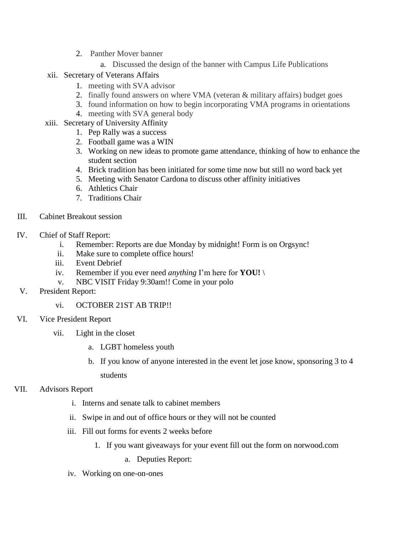- 2. Panther Mover banner
	- a. Discussed the design of the banner with Campus Life Publications
- xii. Secretary of Veterans Affairs
	- 1. meeting with SVA advisor
	- 2. finally found answers on where VMA (veteran & military affairs) budget goes
	- 3. found information on how to begin incorporating VMA programs in orientations
	- 4. meeting with SVA general body
- xiii. Secretary of University Affinity
	- 1. Pep Rally was a success
	- 2. Football game was a WIN
	- 3. Working on new ideas to promote game attendance, thinking of how to enhance the student section
	- 4. Brick tradition has been initiated for some time now but still no word back yet
	- 5. Meeting with Senator Cardona to discuss other affinity initiatives
	- 6. Athletics Chair
	- 7. Traditions Chair
- III. Cabinet Breakout session
- IV. Chief of Staff Report:
	- i. Remember: Reports are due Monday by midnight! Form is on Orgsync!
	- ii. Make sure to complete office hours!
	- iii. Event Debrief
	- iv. Remember if you ever need *anything* I'm here for **YOU!** \
	- v. NBC VISIT Friday 9:30am!! Come in your polo
- V. President Report:
	- vi. OCTOBER 21ST AB TRIP!!
- VI. Vice President Report
	- vii. Light in the closet
		- a. LGBT homeless youth
		- b. If you know of anyone interested in the event let jose know, sponsoring 3 to 4 students
- VII. Advisors Report
	- i. Interns and senate talk to cabinet members
	- ii. Swipe in and out of office hours or they will not be counted
	- iii. Fill out forms for events 2 weeks before
		- 1. If you want giveaways for your event fill out the form on norwood.com
			- a. Deputies Report:
	- iv. Working on one-on-ones